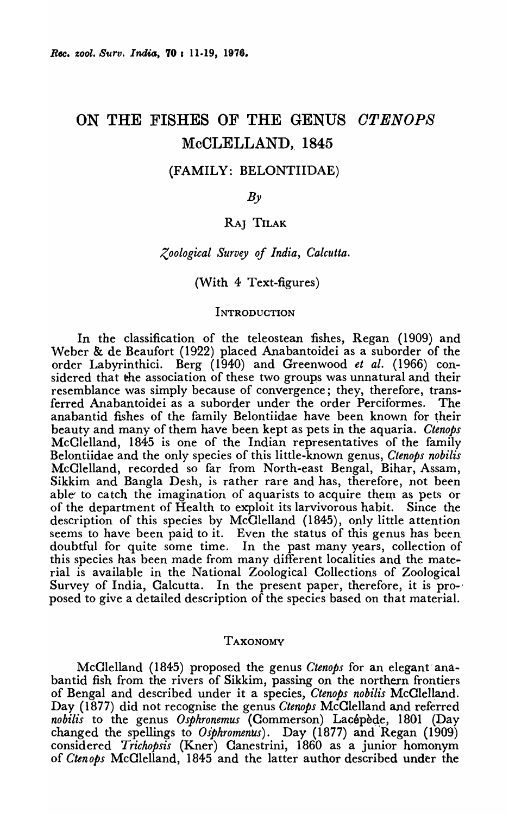# ON THE FISHES OF THE GENUS *OTENOPS*  McCLELLAND, 1845

## (FAMILY: BELONTIIDAE)

 $B_{\nu}$ 

# RAJ TILAK

## *Zoological Survey of India, Calcutta.*

## (With 4 Text-figures)

#### **INTRODUCTION**

In the classification of the teleostean fishes, Regan (1909) and Weber & de Beaufort (1922) placed Anabantoidei as a suborder of the order Labyrinthici. Berg (1940) and Greenwood *et al.* (1966) considered that the association of these two groups was unnatural and their resemblance was simply because of convergence; they, therefore, transferred Anabantoidei as a suborder under the order Perciformes. The anabantid fishes of the family Belontiidae have been known for their beauty and many of them have been kept as pets in the aquaria. *Ctenops*  McClelland, 1845 is one of the Indian representatives of the family Belontiidae and the only species of this little-known genus, *Ctenops nobilis*  McClelland, recorded so far from North-east Bengal, Bihar, Assam, Sikkim and BangIa Desh, is rather rare and has, therefore, not been able to catch the imagination of aquarists to acquire them as pets or of the department of Health to exploit its larvivorous habit. Since the description of this species by McClelland (1845), only little attention seems to have been paid to it. Even the status of this genus has been doubtful for quite some time. In the past many years, collection of this species has been made from many different localities and the material is available in the National Zoological Collections of Zoological Survey of India, Calcutta. In the present paper, therefore, it is proposed to give a detailed description of the species based on that material.

#### TAXONOMY

McClelland (1845) proposed the genus *Ctenops* for an elegant' anaban tid fish from the rivers of Sikkim, passing on the northern frontiers of Bengal and described under it a species, *Ctenops nobilis* McClelland. Day (1877) did not recognise the genus *Ctenops* McClelland and referred *nobilis* to the genus *Osphronemus* (Commerson) Lacépède, 1801 (Day changed the spellings to *Osphromenus).* Day (1877) and Regan (1909) considered *Trichopsis* (Kner) Canestrini, 1860 as a junior homonym of *Ctenops* McClelland, 1845 and the latter author described under the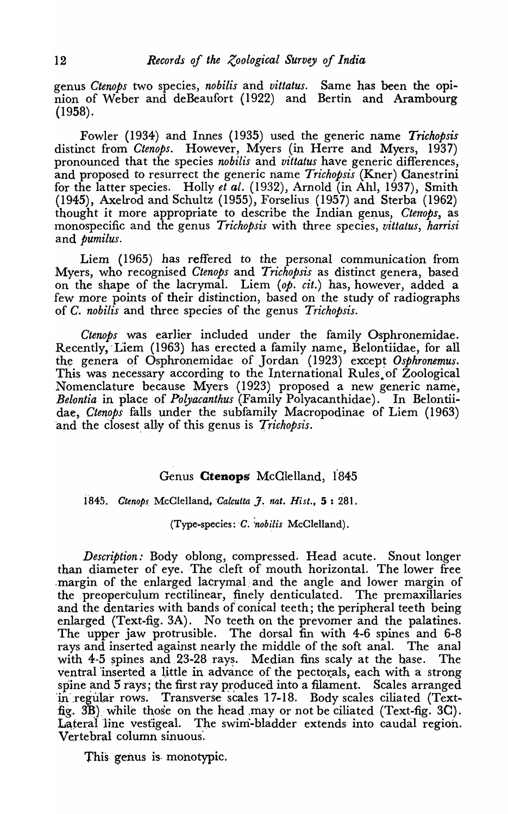genus *Ctenops* two species, *nobilis* and *vittatus.* Same has been the opinion of Weber and deBeaufort (1922) and Bertin and Arambourg (1958).

Fowler (1934) and Innes (1935) used the generic name *Trichopsis*  distinct from *Ctenops.* However, Myers (in Herre and Myers, 1937) pronounced that the species *nobilis* and *vittatus* have generic differences, and proposed to resurrect the generic name *Trichopsis* (Kner) Canestrini for the latter species. Holly *et ale* (1932), Arnold (in Ahl, 1937), Smith (1945), Axelrod and Schultz (1955), Forselius (1957) and Sterba (1962) thought it more appropriate to describe the Indian genus, *Ctenops*, as monospecific and the genus *Trichopsis* with three species, *vittatus, harrisi*  and *pumilus.* 

Liem (1965) has reffered to the personal communication from Myers, who recognised *Ctenops* and *Trichopsis* as distinct genera, based on the shape of the lacrymal. Liem *(op. cit.)* has, however, added a few more points of their distinction, based on the study of radiographs of *C. nobilis* and three species of the genus *Trichopsis.* 

*Ctenops* was earlier included under the family Osphronemidae. Recently, Liem (1963) has erected a family name, Belontiidae, for all the genera of Osphronemidae of Jordan (1923) except *Osphronemus*. This was necessary according to the International Rules of Zoological Nomenclature because Myers (1923) proposed a new generic name, *Belontia* in place of *Polyacanthus* (Family Polyacanthidae). In Belontiidae, *Ctenops* falls. under the subfamily Macropodinae of Liem (1963) and the closest ally of this genus is *Trichopsis*.

# Genus Ctenops McGlelland, 1845

1845. *Ctenops McClelland, <i>Calcutta f. nat. Hist.*, 5:281.

 $(Type-species: C.$  nobilis McClelland).

*Description:* Body oblong, compressed. Head acute. Snout longer than diameter of eye. The cleft of mouth horizontal. The lower free ,margin of the enlarged lacrymal:and the angle and lower margin of the preoperculum rectilinear, finely denticulated. The premaxillaries and the dentaries with bands of conical teeth; the peripheral teeth being enlarged (Text-fig.3A). No teeth on the prevomer and the palatines. The upper jaw protrusible. The dorsal fin with 4-6 spines and 6-8 rays and inserted against nearly the middle of the soft anal. The ana] with  $4-5$  spines and 23-28 rays. Median fins scaly at the base. The ventral inserted a little in advance of the pectorals, each with a strong spine and 5 rays; the first ray produced into a filament. Scales arranged in regular rows. Transverse scales 17-18. Body scales ciliated (Textfig. 3 $B$ ) while those on the head may or not be ciliated (Text-fig. 3C). Lateral line vestigeal. The swim-bladder extends into caudal region. Vertebral column sinuous'.

This genus is monotypic.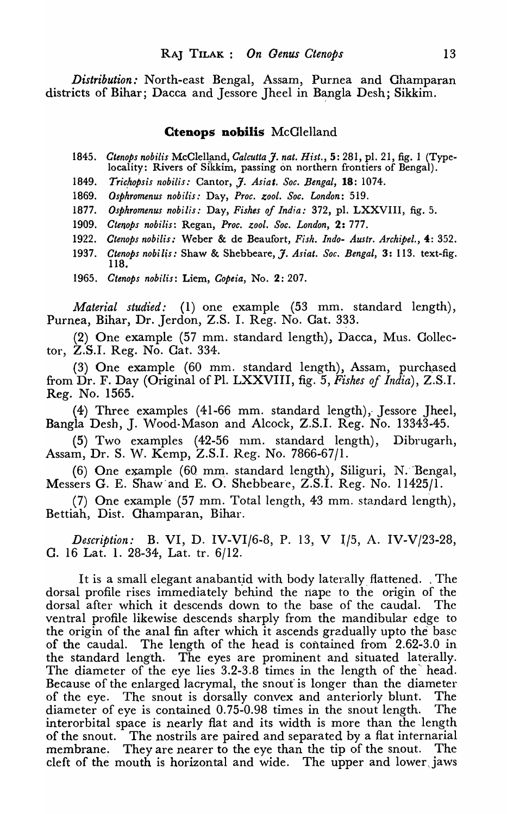*Distribution:* North-east Bengal, Assam, Purnea and Champaran districts of Bihar; Dacca and Jessore Jheel in Bangla Desh; Sikkim.

## **Ctenops nobilis** McClelland

- 1845. *Ctenops nobilis* McClelland, *Calcutta J. nat. Hist.*, 5: 281, pl. 21, fig. 1 (Typelocality: Rivers of Sikkim, passing on northern frontiers of Bengal).
- 1849. Trichopsis nobilis: Cantor, J. Asiat. Soc. Bengal, 18: 1074.
- *1869. Osphromenus nobilis:* Day, *Proc. zool. Soc. London: '519.*
- 1877. Osphromenus nobilis: Day, Fishes of India: 372, pl. LXXVIII, fig. 5.
- *1909. Cten,ops nobilis:* Regan, *Proc. zool. Soc. London,* 2: 777.
- *1922. Ctenops nobilis:* Weber & de Beaufort, *Fish. Indo- Austr. Archipel.,* 4: 352.
- *1937. Ctenops nobilis:* Shaw & Shebbeare, J. *Asiat. Soc. Bengal,* 3: 113. text-fig. 118.

*1965. Ctenops nobilis:* Liem, *Copeia,* No.2: 207.

*Material studied:* (1) one example (53 mm. standard length), Purnea, Bihar, Dr. Jerdon, Z.S. I. Reg. No. Gat. 333.

(2) One example (57 mm. standard length), Dacca, Mus. Collector, Z.S.I. Reg. No. Cat. 334.

 $(3)$  One example  $(60 \text{ mm}$ . standard length), Assam, purchased from Dr. F. Day (Original of Pl. LXXVIII, fig. 5, *Fishes of India*), Z.S.I. Reg. No. 1565.

(4) Three examples (41-66 mm. standard length), Jessore Jheel, Bangla Desh, J. Wood-Mason and Alcock, Z.S.I. Reg. No. 13343-45.

 $(5)$  Two examples  $(42-56$  mm. standard length), Dibrugarh, Assam, Dr. S. W. Kemp, Z.S.I. Reg. No. 7866-67/1.

(6) One example (60 mm. standard length), Siliguri, N. Bengal, Messers G. E. Shaw and E. O. Shebbeare, Z.S.I. Reg. No. 11425/1.

(7) One example (57 mm. 1'otal length, 43 mm. standard length), Bettiah, Dist. Ohamparan, Bihar.

*Description:* B. VI, D. IV-VI/6-8, P. 13, V I/5, A. IV-V/23-28, C. 16 Lat. 1. 28-34, Lat. tr. 6/12.

It is a small elegant anabantid with body laterally flattened. The dorsal profile rises immediately behind the nape to the origin of the dorsal after which it descends down to the base of the caudal. The ventral profile likewise descends sharply from the mandibular edge to the origin of the anal fin after which it ascends gradually upto the base of the caudal. The length of the head is contained from 2.62-3.0 in the standard length. The eyes are prominent and situated laterally. The diameter of the eye lies  $3.2$ -3.8 times in the length of the head. Because of the enlarged lacrymal, the snout is longer than the diameter of the eye. The snout is dorsally convex and anteriorly blunt. The diameter of eye is contained 0.75-0.98 times in the snout length. The interorbital space is nearly flat and its width is more than the length of the snout. The nostrils are paired and separated by a flat internarial membrane. They are nearer to the eye than the tip of the snout. The cleft of the mouth is horizontal and wide. The upper and lower jaws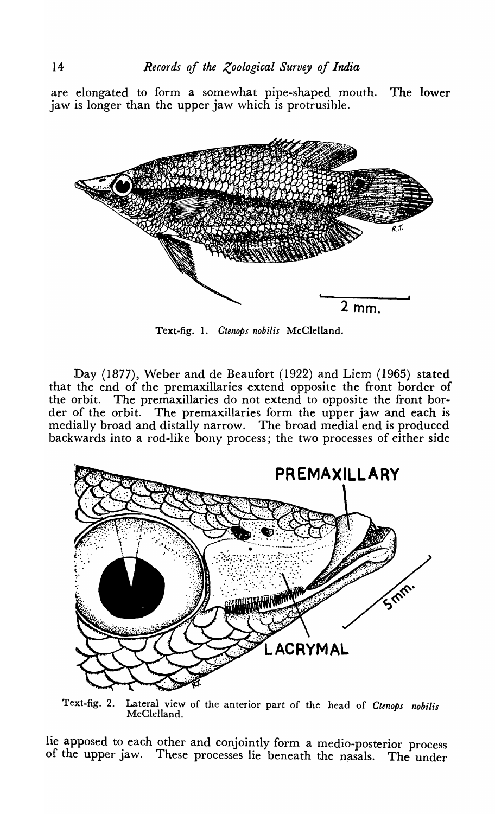are elongated to form a somewhat pipe-shaped mouth. The lower jaw is longer than the upper jaw which is protrusible.



Text-fig. 1. *Ctenops nobilis* McClelland.

Day (1877), Weber and de Beaufort (1922) and Liem (1965) stated that the end of the premaxillaries extend opposite the front border of the orbit. The premaxillaries do not extend to opposite the front border of the orbit. The premaxillaries form the upper jaw and each is medialJy broad and distally narrow. The broad medial end is produced backwards into a rod-like bony process; the two processes of either side



Text-fig. 2. Lateral view of the anterior part of the head of *Ctenops nobilis*  McClelland.

lie apposed to each other and conjointly form a medio-posterior process of the upper jaw. These processes lie beneath the nasals. The under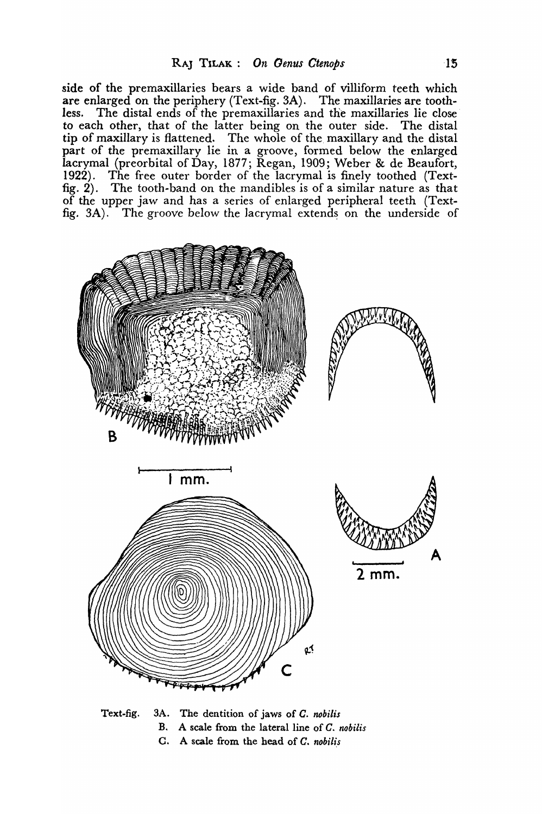side of the premaxillaries bears a wide band of villiform teeth which are enlarged on the periphery (Text-fig. 3A). The maxillaries are toothless. The distal ends of the premaxillaries and the maxillaries lie close' to each other, that of the latter being on the outer side. The distal tip of maxillary is flattened. The whole of the maxillary and the distal part of the premaxillary lie in a groove, formed below the enlarged lacrymal (preorbital of Day, 1877; Regan, 1909; Weber & de Beaufort, 1922). The free outer border of the lacrymal is finely toothed (Textfig. 2). The tooth-band on the mandibles is of a similar nature as that of the upper jaw and has a series of enlarged peripheral teeth (Textfig.  $3A$ ). The groove below the lacrymal extends on the underside of



Text.fig. 3A. The dentition of jaws of *C. nobilis*  B. A scale from the lateral line of *C. nobilis*  C. A scale from the head of *C. nobilis*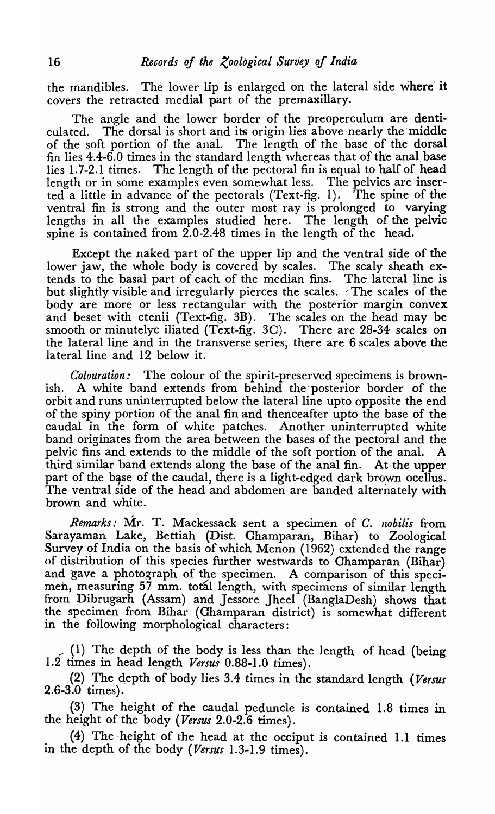the mandibles. The lower lip is enlarged on the lateral side where it covers the retracted medial part of the premaxillary.

The angle and the lower border of the preoperculum are denticulated. The dorsal is short and its origin lies above nearly the middle of the soft portion of the anal. The length of the base of the dorsal fin lies  $4.4$ -6.0 times in the standard length whereas that of the anal base lies 1.7-2.1 times. The length of the pectoral fin is equal to half of head length or in some examples even somewhat less. The pelvics are inserted a little in advance of the pectorals (Text-fig. 1). The spine of the ventral fin is strong and the outer most ray is prolonged to varying lengths in all the examples studied here. The length of the pelvic spine is contained from 2.0-2.48 times in the length of the head.

Except the naked part of the upper lip and the ventral side of the lower jaw, the whole body is covered by scales. The scaly sheath extends to the basal part of each of the median fins. The lateral line is but slightly visible and irregularly pierces the scales. The scales of the body are more or less rectangular with the posterior margin convex and beset with ctenii (Text-fig. 3B). The scales on the head may be smooth or minutelyc iliated (Text-fig. 30). There are 28-34 scales on the lateral line and in the transverse series, there are 6 scales above the lateral line and 12 below it.

*Colouration:* The colour of the spirit-preserved specimens is brownish. A white band extends from behind the'posterior border of the orbit and runs uninterrupted below the lateral line upto opposite the end of the spiny portion of the anal fin and thenceafter upto the base of the caudal in the form of white patches. Another uninterrupted white band originates from the area between the bases of the pectoral and the pelvic fins and extends to the middle of the soft portion of the anal. A third similar band extends along the base of the anal fin. At the upper part of the base of the caudal, there is a light-edged dark brown ocellus. The ventral side of the head and abdomen are banded alternately with brown and white.

*Remarks:* Mr. T. Mackessack sent a specimen of *C. llobilis* from Sarayaman Lake, Bettiah (Dist. Champaran, Bihar) to Zoological Survey of India on the basis of which Menon (1962) extended the range of distribution of this species further westwards to Champaran (Bihar) and gave a photograph of the specimen. A comparison of this specimen, measuring 57 mm. total length, with specimens of similar length from Dibrugarh (Assam) and Jessore Jheel (BanglaDesh) shows that the specimen from Bihar (Champaran district) is somewhat different in the following morphological characters:

;' (1) The depth of the body is less than the length of head (being 1.2 times in head length *Versus* 0.88-1.0 times).

(2) The depth of body lies 3.4 times in the standard length *(Versus* 2.6-3.0 times).

(3) The height of the caudal peduncle is contained 1.8 times in the height of the body *(Versus* 2.0-2.6 times).

(4) The -height of the head at the occiput is contained 1.1 times in the depth of the body *(Versus* 1.3-1.9 times).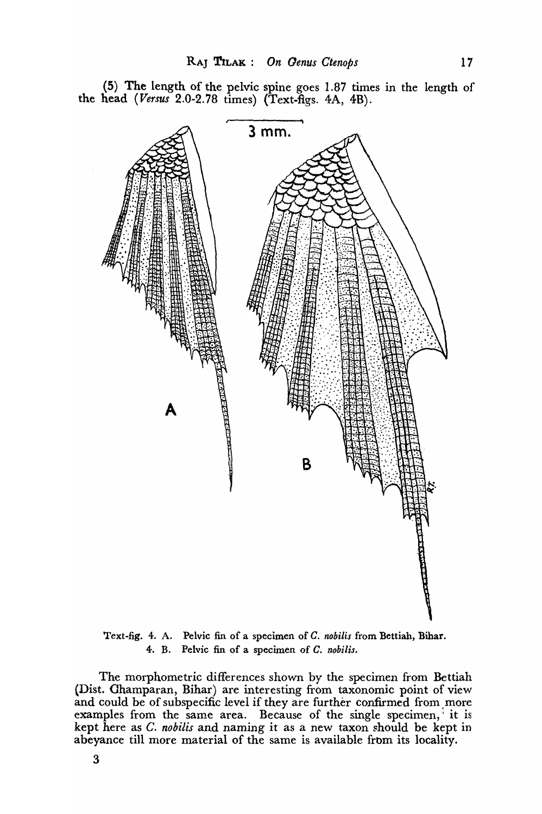

(5) The length of the pelvic spine goes 1.87 times in the length of the head *(Versus* 2.0-2.78 times) (Text-figs. 4A, 4B).

Text-fig. 4. A. Pelvic fin of a specimen of *C. nobilis* from Bettiah, Bihar. 4. B. Pelvic fin of a specimen of *C. nobilis.* 

The morphometric differences shown by the specimen from Bettiah (Dist. Ghamparan, Bihar) are interesting from taxonomic point of view and could be of subspecific level if they are further confirmed from more examples from the same area. Because of the single specimen, it is kept here as *C. nobilis* and naming it as a new taxon should be kept in abeyance till more material of the same is available from its locality.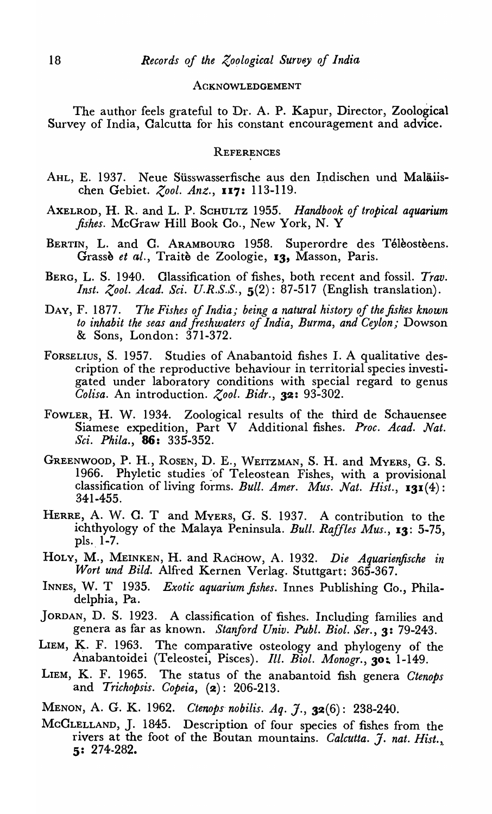#### ACKNOWLEDGEMENT

The author feels grateful to Dr. A. P. Kapur, Director, Zoological Survey of India, Calcutta for his constant encouragement and advice.

#### **REFERENCES**

- AHL, E. 1937. Neue Süsswasserfische aus den Indischen und Maläiischen Gebiet. *Zool. Ant.,* 117: 113-119.
- AXELROD, H. R. and L. P. SCHULTZ 1955. *Handbook of tropical aquarium fishes.* McGraw Hill Book Co., New York, N. Y
- BERTIN, L. and C. ARAMBOURG 1958. Superordre des Télèostèens. Grassè et al., Traitè de Zoologie, 13, Masson, Paris.
- BERG, L. S. 1940. Classification of fishes, both recent and fossil. *Trav. Inst. Zool. Acad. Sci. U.R.S.S.*, **5(2): 87-517 (English translation).**
- DAY, F. 1877. *The Fishes of India; being a natural history of the fishes known to inhabit the seas and fresh waters of India, Burma, and Ceylon;* Dowson & Sons, London: 371-372.
- FORSELIUS, S. 1957. Studies of Anabantoid fishes I. A qualitative description of the reproductive behaviour in territorial species investigated under laboratory conditions with special regard to genus *Colisa.* An introduction. *Zool. Bidr.,* 32: 93-302.
- FOWLER, H. W. 1934. Zoological results of the third de Schauensee Siamese expedition, Part V Additional fishes. *Proc. Acad. Nat. Sci. Phila.,* 86: 335-352.
- GREENWOOD, P. H., ROSEN, D. E., WEITZMAN, S. H. and MYERS, G. S. 1966. Phyletic studies of Teleostean Fishes, with a provisional classification of living forms. *Bull. Amer. Mus. Nat. Hist.,* 131 (4): 341-455.
- HERRE, A. W. C. T and MYERS, G. S. 1937. A contribution to the ichthyology of the Malaya Peninsula. *Bull. Raffles Mus.,* 13: 5·75, pls. 1-7.
- HOLY, M., MEINKEN, H. and RACHOW, A. 1932. *Die Aquarienfische in Wort und Bild.* Alfred Kernen Verlag. Stuttgart: 365-367.
- INNES, W. T 1935. *Exotic aquarium fishes.* Innes Publishing Co., Philadelphia, Pa.
- JORDAN, D. S. 1923. A classification of fishes. Including families and genera as far as known. *Stanford Univ. Publ. Bioi. Ser.,* 3: 79-243.
- LIEM, K. F. 1963. The comparative osteology and phylogeny of the Anabantoidei (Teleostei, Pisces). *Ill. Biol. Monogr.*, 30; 1-149.
- LIEM, K. F. 1965. The status of the anabantoid fish genera *Ctenops*  and *Trichopsis. Copeia,* (2): 206-213.
- MENON, A. G. K. 1962. *Ctenops· nobilis. Aq. J.,* 32 (6): 238-240.
- MCCLELLAND, J. 1845. Description of four species of fishes from the rivers at the foot of the Boutan mountains. *Calcutta. J. nat. Hist.*, 5: 274·282.